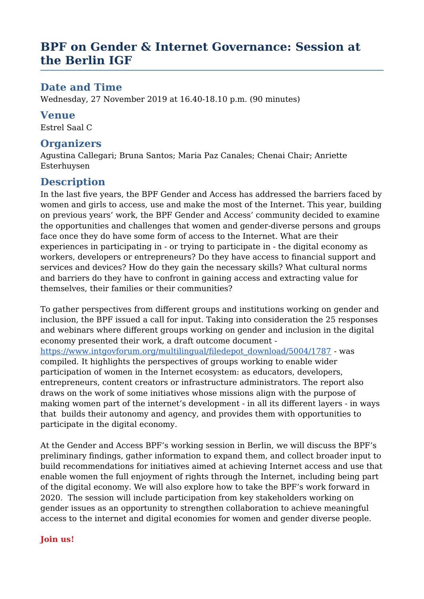# **BPF on Gender & Internet Governance: Session at the Berlin IGF**

### **Date and Time**

Wednesday, 27 November 2019 at 16.40-18.10 p.m. (90 minutes)

#### **Venue**

Estrel Saal C

### **Organizers**

Agustina Callegari; Bruna Santos; Maria Paz Canales; Chenai Chair; Anriette Esterhuysen

### **Description**

In the last five years, the BPF Gender and Access has addressed the barriers faced by women and girls to access, use and make the most of the Internet. This year, building on previous years' work, the BPF Gender and Access' community decided to examine the opportunities and challenges that women and gender-diverse persons and groups face once they do have some form of access to the Internet. What are their experiences in participating in - or trying to participate in - the digital economy as workers, developers or entrepreneurs? Do they have access to financial support and services and devices? How do they gain the necessary skills? What cultural norms and barriers do they have to confront in gaining access and extracting value for themselves, their families or their communities?

To gather perspectives from different groups and institutions working on gender and inclusion, the BPF issued a call for input. Taking into consideration the 25 responses and webinars where different groups working on gender and inclusion in the digital economy presented their work, a draft outcome document [https://www.intgovforum.org/multilingual/filedepot\\_download/5004/1787](https://www.intgovforum.org/multilingual/filedepot_download/5004/1787) - was compiled. It highlights the perspectives of groups working to enable wider participation of women in the Internet ecosystem: as educators, developers, entrepreneurs, content creators or infrastructure administrators. The report also draws on the work of some initiatives whose missions align with the purpose of making women part of the internet's development - in all its different layers - in ways that builds their autonomy and agency, and provides them with opportunities to participate in the digital economy.

At the Gender and Access BPF's working session in Berlin, we will discuss the BPF's preliminary findings, gather information to expand them, and collect broader input to build recommendations for initiatives aimed at achieving Internet access and use that enable women the full enjoyment of rights through the Internet, including being part of the digital economy. We will also explore how to take the BPF's work forward in 2020. The session will include participation from key stakeholders working on gender issues as an opportunity to strengthen collaboration to achieve meaningful access to the internet and digital economies for women and gender diverse people.

#### **Join us!**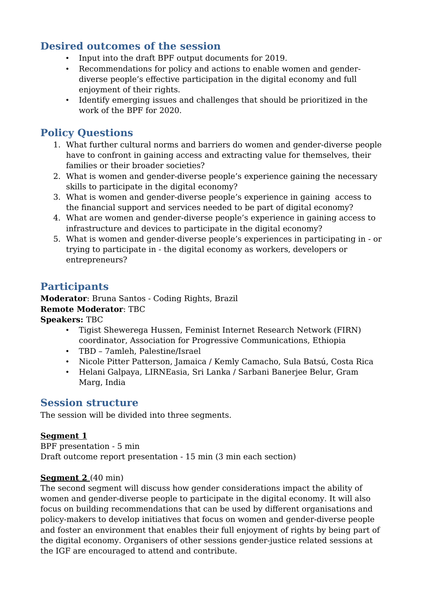# **Desired outcomes of the session**

- Input into the draft BPF output documents for 2019.<br>• Recommendations for policy and actions to enable w
- Recommendations for policy and actions to enable women and genderdiverse people's effective participation in the digital economy and full enjoyment of their rights.
- Identify emerging issues and challenges that should be prioritized in the work of the BPF for 2020.

# **Policy Questions**

- 1. What further cultural norms and barriers do women and gender-diverse people have to confront in gaining access and extracting value for themselves, their families or their broader societies?
- 2. What is women and gender-diverse people's experience gaining the necessary skills to participate in the digital economy?
- 3. What is women and gender-diverse people's experience in gaining access to the financial support and services needed to be part of digital economy?
- 4. What are women and gender-diverse people's experience in gaining access to infrastructure and devices to participate in the digital economy?
- 5. What is women and gender-diverse people's experiences in participating in or trying to participate in - the digital economy as workers, developers or entrepreneurs?

## **Participants**

**Moderator**: Bruna Santos - Coding Rights, Brazil **Remote Moderator**: TBC **Speakers:** TBC

- Tigist Shewerega Hussen, Feminist Internet Research Network (FIRN) coordinator, Association for Progressive Communications, Ethiopia
- TBD 7amleh, Palestine/Israel
- Nicole Pitter Patterson, Jamaica / Kemly Camacho, Sula Batsú, Costa Rica
- Helani Galpaya, LIRNEasia, Sri Lanka / Sarbani Banerjee Belur, Gram Marg, India

## **Session structure**

The session will be divided into three segments.

#### **Segment 1**

BPF presentation - 5 min Draft outcome report presentation - 15 min (3 min each section)

#### **Segment 2** (40 min)

The second segment will discuss how gender considerations impact the ability of women and gender-diverse people to participate in the digital economy. It will also focus on building recommendations that can be used by different organisations and policy-makers to develop initiatives that focus on women and gender-diverse people and foster an environment that enables their full enjoyment of rights by being part of the digital economy. Organisers of other sessions gender-justice related sessions at the IGF are encouraged to attend and contribute.